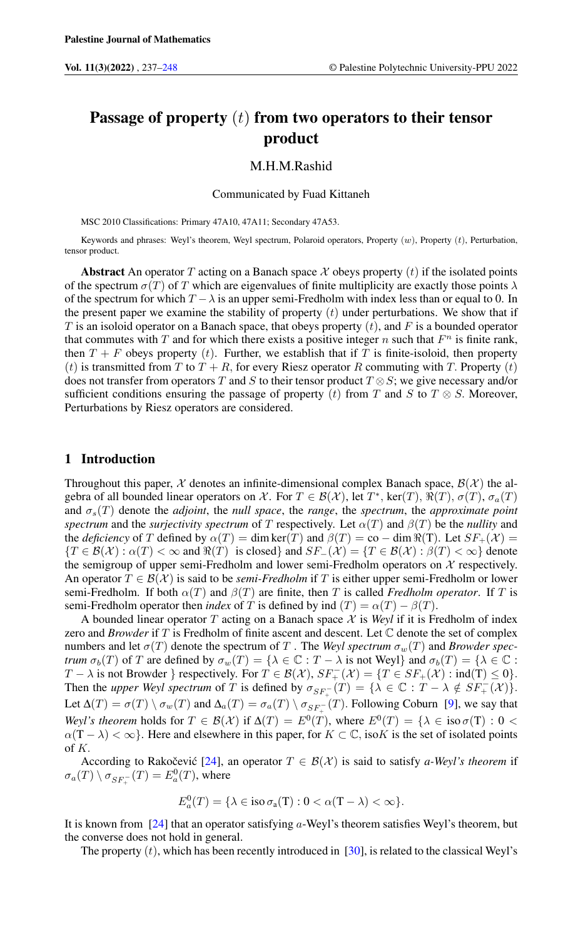# Passage of property  $(t)$  from two operators to their tensor product

# M.H.M.Rashid

Communicated by Fuad Kittaneh

MSC 2010 Classifications: Primary 47A10, 47A11; Secondary 47A53.

Keywords and phrases: Weyl's theorem, Weyl spectrum, Polaroid operators, Property (w), Property (t), Perturbation, tensor product.

**Abstract** An operator T acting on a Banach space X obeys property (t) if the isolated points of the spectrum  $\sigma(T)$  of T which are eigenvalues of finite multiplicity are exactly those points  $\lambda$ of the spectrum for which  $T - \lambda$  is an upper semi-Fredholm with index less than or equal to 0. In the present paper we examine the stability of property  $(t)$  under perturbations. We show that if T is an isoloid operator on a Banach space, that obeys property  $(t)$ , and F is a bounded operator that commutes with  $T$  and for which there exists a positive integer  $n$  such that  $F<sup>n</sup>$  is finite rank, then  $T + F$  obeys property (t). Further, we establish that if T is finite-isoloid, then property (t) is transmitted from T to  $T + R$ , for every Riesz operator R commuting with T. Property (t) does not transfer from operators T and S to their tensor product  $T \otimes S$ ; we give necessary and/or sufficient conditions ensuring the passage of property (t) from T and S to T  $\otimes$  S. Moreover, Perturbations by Riesz operators are considered.

## 1 Introduction

Throughout this paper,  $\chi$  denotes an infinite-dimensional complex Banach space,  $\mathcal{B}(\chi)$  the algebra of all bounded linear operators on X. For  $T \in \mathcal{B}(\mathcal{X})$ , let  $T^*$ , ker $(T)$ ,  $\Re(T)$ ,  $\sigma(T)$ ,  $\sigma_a(T)$ and σs(T) denote the *adjoint*, the *null space*, the *range*, the *spectrum*, the *approximate point spectrum* and the *surjectivity spectrum* of T respectively. Let  $\alpha(T)$  and  $\beta(T)$  be the *nullity* and the *deficiency* of T defined by  $\alpha(T) = \dim \ker(T)$  and  $\beta(T) = \text{co} - \dim \Re(T)$ . Let  $SF_+(\mathcal{X}) =$  ${T \in \mathcal{B}(\mathcal{X}) : \alpha(T) < \infty \text{ and } \Re(T) \text{ is closed} \text{ and } SF_{-}(\mathcal{X}) = \{T \in \mathcal{B}(\mathcal{X}) : \beta(T) < \infty \}$  denote the semigroup of upper semi-Fredholm and lower semi-Fredholm operators on  $X$  respectively. An operator  $T \in \mathcal{B}(\mathcal{X})$  is said to be *semi-Fredholm* if T is either upper semi-Fredholm or lower semi-Fredholm. If both  $\alpha(T)$  and  $\beta(T)$  are finite, then T is called *Fredholm operator*. If T is semi-Fredholm operator then *index* of T is defined by ind  $(T) = \alpha(T) - \beta(T)$ .

A bounded linear operator T acting on a Banach space  $X$  is *Weyl* if it is Fredholm of index zero and *Browder* if T is Fredholm of finite ascent and descent. Let C denote the set of complex numbers and let  $\sigma(T)$  denote the spectrum of T. The *Weyl spectrum*  $\sigma_w(T)$  and *Browder spectrum*  $\sigma_b(T)$  of T are defined by  $\sigma_w(T) = {\lambda \in \mathbb{C} : T - \lambda \text{ is not Weyl}}$  and  $\sigma_b(T) = {\lambda \in \mathbb{C} : T - \lambda \text{ is not Weyl}}$ T –  $\lambda$  is not Browder } respectively. For  $T \in \mathcal{B}(\mathcal{X}), SF_+^-(\mathcal{X}) = \{T \in SF_+(\mathcal{X}) : \text{ind}(T) \le 0\}.$ Then the *upper Weyl spectrum* of T is defined by  $\sigma_{SF_{+}^{-}}(T) = {\lambda \in \mathbb{C} : T - \lambda \notin SF_{+}^{-}(\mathcal{X})}.$ Let  $\Delta(T) = \sigma(T) \setminus \sigma_w(T)$  and  $\Delta_a(T) = \sigma_a(T) \setminus \sigma_{SF_{+}^{-}}(T)$ . Following Coburn [\[9\]](#page-11-0), we say that *Weyl's theorem* holds for  $T \in \mathcal{B}(\mathcal{X})$  if  $\Delta(T) = E^0(T)$ , where  $E^0(T) = {\lambda \in \text{iso } \sigma(T) : 0 < \text{min } \sigma(T)}$  $\alpha(T - \lambda) < \infty$ . Here and elsewhere in this paper, for  $K \subset \mathbb{C}$ , iso K is the set of isolated points of  $K$ .

According to Rakočević [[24\]](#page-11-1), an operator  $T \in \mathcal{B}(\mathcal{X})$  is said to satisfy *a-Weyl's theorem* if  $\sigma_a(T) \setminus \sigma_{SF_{+}^{-}}(T) = E_a^0(T)$ , where

$$
E_a^0(T) = \{\lambda \in \text{iso } \sigma_a(T) : 0 < \alpha(T - \lambda) < \infty\}.
$$

It is known from  $[24]$  that an operator satisfying a-Weyl's theorem satisfies Weyl's theorem, but the converse does not hold in general.

The property  $(t)$ , which has been recently introduced in [\[30\]](#page-11-2), is related to the classical Weyl's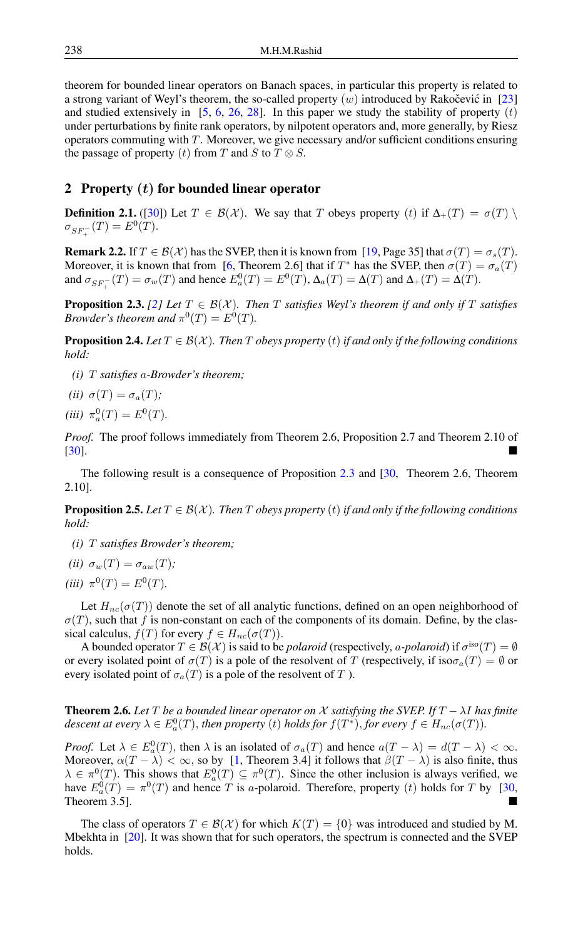theorem for bounded linear operators on Banach spaces, in particular this property is related to a strong variant of Weyl's theorem, the so-called property  $(w)$  introduced by Rakočević in [[23\]](#page-11-3) and studied extensively in [\[5,](#page-11-4) [6,](#page-11-5) [26,](#page-11-6) [28\]](#page-11-7). In this paper we study the stability of property  $(t)$ under perturbations by finite rank operators, by nilpotent operators and, more generally, by Riesz operators commuting with  $T$ . Moreover, we give necessary and/or sufficient conditions ensuring the passage of property (t) from T and S to  $T \otimes S$ .

# 2 Property  $(t)$  for bounded linear operator

**Definition 2.1.** ([\[30\]](#page-11-2)) Let  $T \in \mathcal{B}(\mathcal{X})$ . We say that T obeys property (t) if  $\Delta_+(T) = \sigma(T) \setminus \mathcal{B}$  $\sigma_{SF_{+}^{-}}(T) = E^{0}(T).$ 

**Remark 2.2.** If  $T \in \mathcal{B}(\mathcal{X})$  has the SVEP, then it is known from [\[19,](#page-11-8) Page 35] that  $\sigma(T) = \sigma_s(T)$ . Moreover, it is known that from [\[6,](#page-11-5) Theorem 2.6] that if  $T^*$  has the SVEP, then  $\sigma(T) = \sigma_a(T)$ and  $\sigma_{SF_{+}^{-}}(T) = \sigma_w(T)$  and hence  $E_a^0(T) = E^0(T)$ ,  $\Delta_a(T) = \Delta(T)$  and  $\Delta_+(T) = \Delta(T)$ .

<span id="page-1-0"></span>**Proposition 2.3.** *[\[2\]](#page-11-9)* Let  $T \in B(X)$ *. Then* T *satisfies Weyl's theorem if and only if* T *satisfies Browder's theorem and*  $\pi^{0}(T) = E^{0}(T)$ .

**Proposition 2.4.** *Let*  $T \in \mathcal{B}(\mathcal{X})$ *. Then* T *obeys property* (t) *if and only if the following conditions hold:*

- *(i)* T *satisfies* a*-Browder's theorem;*
- *(ii)*  $\sigma(T) = \sigma_a(T)$ *;*
- $(iii)$   $\pi_a^0(T) = E^0(T)$ .

*Proof.* The proof follows immediately from Theorem 2.6, Proposition 2.7 and Theorem 2.10 of [\[30\]](#page-11-2).

The following result is a consequence of Proposition [2.3](#page-1-0) and [\[30,](#page-11-2) Theorem 2.6, Theorem 2.10].

**Proposition 2.5.** *Let*  $T \in \mathcal{B}(\mathcal{X})$ *. Then*  $T$  *obeys property* (*t*) *if and only if the following conditions hold:*

*(i)* T *satisfies Browder's theorem;*

$$
(ii) \sigma_w(T) = \sigma_{aw}(T);
$$

 $(iii) \tau^0(T) = E^0(T)$ .

Let  $H_{nc}(\sigma(T))$  denote the set of all analytic functions, defined on an open neighborhood of  $\sigma(T)$ , such that f is non-constant on each of the components of its domain. Define, by the classical calculus,  $f(T)$  for every  $f \in H_{nc}(\sigma(T))$ .

A bounded operator  $T \in \mathcal{B}(\mathcal{X})$  is said to be *polaroid* (respectively, *a-polaroid*) if  $\sigma^{iso}(T) = \emptyset$ or every isolated point of  $\sigma(T)$  is a pole of the resolvent of T (respectively, if  $\text{iso}\sigma_a(T) = \emptyset$  or every isolated point of  $\sigma_a(T)$  is a pole of the resolvent of T).

**Theorem 2.6.** Let T be a bounded linear operator on X satisfying the SVEP. If  $T - \lambda I$  has finite *descent at every*  $\lambda \in E_a^0(T)$ , *then property* (*t*) *holds for*  $f(T^*),$  *for every*  $f \in H_{nc}(\sigma(T))$ *.* 

*Proof.* Let  $\lambda \in E_a^0(T)$ , then  $\lambda$  is an isolated of  $\sigma_a(T)$  and hence  $a(T - \lambda) = d(T - \lambda) < \infty$ . Moreover,  $\alpha(T - \lambda) < \infty$ , so by [\[1,](#page-10-1) Theorem 3.4] it follows that  $\beta(T - \lambda)$  is also finite, thus  $\lambda \in \pi^0(T)$ . This shows that  $E_a^0(T) \subseteq \pi^0(T)$ . Since the other inclusion is always verified, we have  $E_a^0(T) = \pi^0(T)$  and hence T is a-polaroid. Therefore, property (t) holds for T by [\[30,](#page-11-2) Theorem 3.5].

The class of operators  $T \in \mathcal{B}(\mathcal{X})$  for which  $K(T) = \{0\}$  was introduced and studied by M. Mbekhta in [\[20\]](#page-11-10). It was shown that for such operators, the spectrum is connected and the SVEP holds.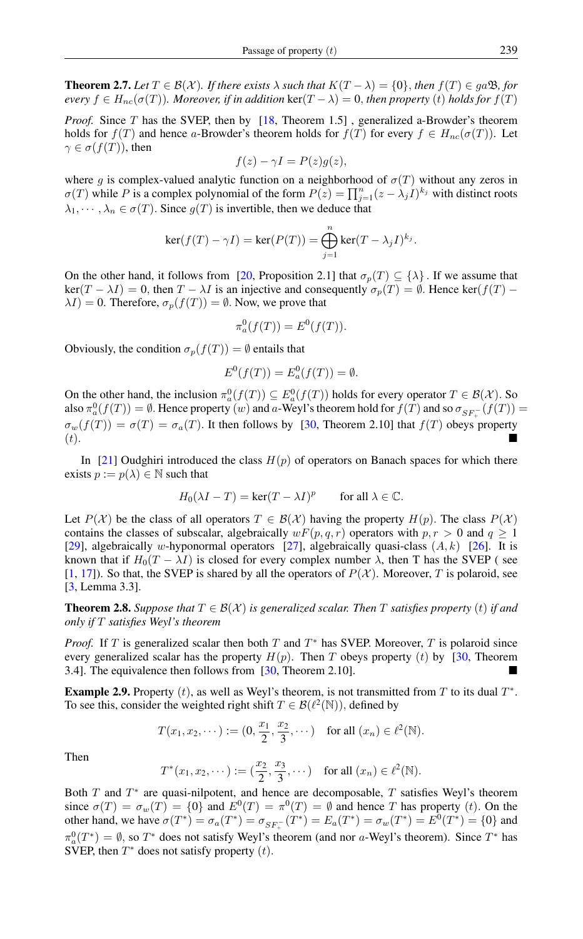**Theorem 2.7.** *Let*  $T \in \mathcal{B}(\mathcal{X})$ *. If there exists*  $\lambda$  *such that*  $K(T - \lambda) = \{0\}$ *, then*  $f(T) \in ga\mathfrak{B}$ *, for every*  $f \in H_{nc}(\sigma(T))$ *. Moreover, if in addition* ker( $T - \lambda$ ) = 0, *then property* (*t*) *holds for*  $f(T)$ 

*Proof.* Since T has the SVEP, then by [\[18,](#page-11-11) Theorem 1.5], generalized a-Browder's theorem holds for  $f(T)$  and hence a-Browder's theorem holds for  $f(T)$  for every  $f \in H_{nc}(\sigma(T))$ . Let  $\gamma \in \sigma(f(T))$ , then

$$
f(z) - \gamma I = P(z)g(z),
$$

where g is complex-valued analytic function on a neighborhood of  $\sigma(T)$  without any zeros in  $\sigma(T)$  while P is a complex polynomial of the form  $P(z) = \prod_{j=1}^{n} (z - \lambda_j I)^{k_j}$  with distinct roots  $\lambda_1, \dots, \lambda_n \in \sigma(T)$ . Since  $g(T)$  is invertible, then we deduce that

$$
\ker(f(T) - \gamma I) = \ker(P(T)) = \bigoplus_{j=1}^{n} \ker(T - \lambda_j I)^{k_j}.
$$

On the other hand, it follows from [\[20,](#page-11-10) Proposition 2.1] that  $\sigma_p(T) \subseteq {\{\lambda\}}$ . If we assume that  $\ker(T - \lambda I) = 0$ , then  $T - \lambda I$  is an injective and consequently  $\sigma_p(T) = \emptyset$ . Hence  $\ker(f(T) \lambda I$ ) = 0. Therefore,  $\sigma_p(f(T)) = \emptyset$ . Now, we prove that

$$
\pi_a^0(f(T)) = E^0(f(T)).
$$

Obviously, the condition  $\sigma_p(f(T)) = \emptyset$  entails that

$$
E^{0}(f(T)) = E_{a}^{0}(f(T)) = \emptyset.
$$

On the other hand, the inclusion  $\pi_a^0(f(T)) \subseteq E_a^0(f(T))$  holds for every operator  $T \in \mathcal{B}(\mathcal{X})$ . So also  $\pi_a^0(f(T)) = \emptyset$ . Hence property  $(w)$  and a-Weyl's theorem hold for  $f(T)$  and so  $\sigma_{SF_{+}^-}(f(T)) =$  $\sigma_w(f(T)) = \sigma(T) = \sigma_a(T)$ . It then follows by [\[30,](#page-11-2) Theorem 2.10] that  $f(T)$  obeys property  $(t).$ 

In [\[21\]](#page-11-12) Oudghiri introduced the class  $H(p)$  of operators on Banach spaces for which there exists  $p := p(\lambda) \in \mathbb{N}$  such that

$$
H_0(\lambda I - T) = \ker(T - \lambda I)^p \quad \text{for all } \lambda \in \mathbb{C}.
$$

Let  $P(\mathcal{X})$  be the class of all operators  $T \in \mathcal{B}(\mathcal{X})$  having the property  $H(p)$ . The class  $P(\mathcal{X})$ contains the classes of subscalar, algebraically  $wF(p, q, r)$  operators with  $p, r > 0$  and  $q \ge 1$ [\[29\]](#page-11-13), algebraically w-hyponormal operators [\[27\]](#page-11-14), algebraically quasi-class  $(A, k)$  [\[26\]](#page-11-6). It is known that if  $H_0(T - \lambda I)$  is closed for every complex number  $\lambda$ , then T has the SVEP (see [\[1,](#page-10-1) [17\]](#page-11-15)). So that, the SVEP is shared by all the operators of  $P(\mathcal{X})$ . Moreover, T is polaroid, see [\[3,](#page-11-16) Lemma 3.3].

**Theorem 2.8.** *Suppose that*  $T \in \mathcal{B}(\mathcal{X})$  *is generalized scalar. Then* T *satisfies property* (*t*) *if and only if* T *satisfies Weyl's theorem*

*Proof.* If  $T$  is generalized scalar then both  $T$  and  $T^*$  has SVEP. Moreover,  $T$  is polaroid since every generalized scalar has the property  $H(p)$ . Then T obeys property (t) by [\[30,](#page-11-2) Theorem 3.4]. The equivalence then follows from [\[30,](#page-11-2) Theorem 2.10].

**Example 2.9.** Property  $(t)$ , as well as Weyl's theorem, is not transmitted from T to its dual  $T^*$ . To see this, consider the weighted right shift  $T \in \mathcal{B}(\ell^2(\mathbb{N}))$ , defined by

$$
T(x_1, x_2, \dots) := (0, \frac{x_1}{2}, \frac{x_2}{3}, \dots)
$$
 for all  $(x_n) \in \ell^2(\mathbb{N})$ .

Then

$$
T^*(x_1, x_2, \dots) := (\frac{x_2}{2}, \frac{x_3}{3}, \dots)
$$
 for all  $(x_n) \in \ell^2(\mathbb{N})$ .

Both  $T$  and  $T^*$  are quasi-nilpotent, and hence are decomposable,  $T$  satisfies Weyl's theorem since  $\sigma(T) = \sigma_w(T) = \{0\}$  and  $E^0(T) = \pi^0(T) = \emptyset$  and hence T has property (*t*). On the other hand, we have  $\sigma(T^*) = \sigma_a(T^*) = \sigma_{SF^-_+}(T^*) = E_a(T^*) = \sigma_w(T^*) = E^0(T^*) = \{0\}$  and  $\pi_a^0(T^*) = \emptyset$ , so  $T^*$  does not satisfy Weyl's theorem (and nor a-Weyl's theorem). Since  $T^*$  has SVEP, then  $T^*$  does not satisfy property  $(t)$ .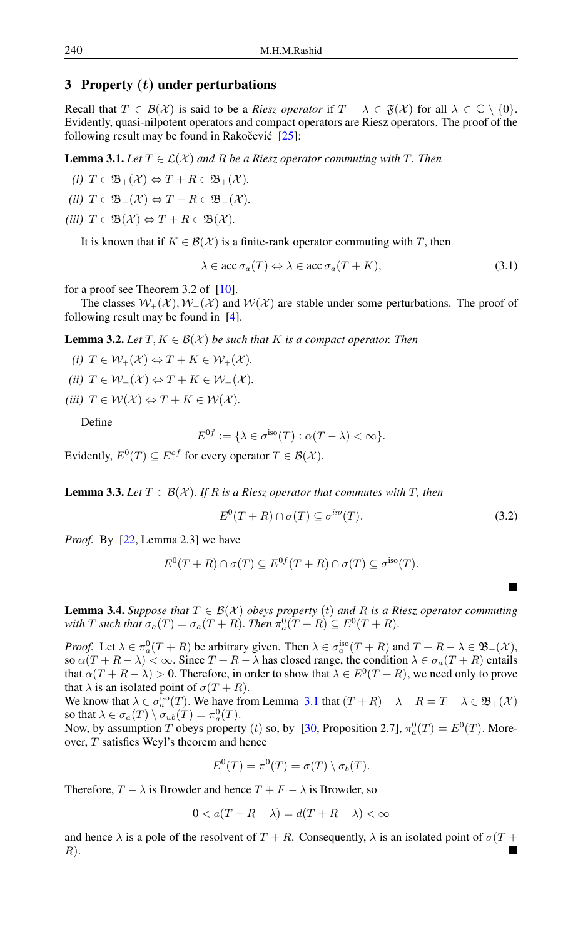# 3 Property  $(t)$  under perturbations

Recall that  $T \in \mathcal{B}(\mathcal{X})$  is said to be a *Riesz operator* if  $T - \lambda \in \mathfrak{F}(\mathcal{X})$  for all  $\lambda \in \mathbb{C} \setminus \{0\}$ . Evidently, quasi-nilpotent operators and compact operators are Riesz operators. The proof of the following result may be found in Rakočević  $[25]$  $[25]$ :

<span id="page-3-0"></span>**Lemma 3.1.** Let  $T \in \mathcal{L}(\mathcal{X})$  and R be a Riesz operator commuting with T. Then

*(i)*  $T \in \mathfrak{B}_+(\mathcal{X}) \Leftrightarrow T + R \in \mathfrak{B}_+(\mathcal{X})$ *.* 

*(ii)*  $T \in \mathfrak{B}(\mathcal{X}) \Leftrightarrow T + R \in \mathfrak{B}(\mathcal{X})$ *.* 

*(iii)*  $T \in \mathfrak{B}(\mathcal{X}) \Leftrightarrow T + R \in \mathfrak{B}(\mathcal{X})$ *.* 

It is known that if  $K \in \mathcal{B}(\mathcal{X})$  is a finite-rank operator commuting with T, then

$$
\lambda \in \text{acc } \sigma_a(T) \Leftrightarrow \lambda \in \text{acc } \sigma_a(T + K), \tag{3.1}
$$

for a proof see Theorem 3.2 of [\[10\]](#page-11-18).

The classes  $W_+(\mathcal{X}), W_-(\mathcal{X})$  and  $W(\mathcal{X})$  are stable under some perturbations. The proof of following result may be found in [\[4\]](#page-11-19).

**Lemma 3.2.** Let  $T, K \in \mathcal{B}(\mathcal{X})$  be such that K is a compact operator. Then

*(i)*  $T \in \mathcal{W}_+(\mathcal{X}) \Leftrightarrow T + K \in \mathcal{W}_+(\mathcal{X})$ . *(ii)*  $T \in \mathcal{W}_-(\mathcal{X}) \Leftrightarrow T + K \in \mathcal{W}_-(\mathcal{X})$ *.* 

*(iii)*  $T \in \mathcal{W}(\mathcal{X}) \Leftrightarrow T + K \in \mathcal{W}(\mathcal{X})$ *.* 

Define

$$
E^{0f} := \{ \lambda \in \sigma^{\text{iso}}(T) : \alpha(T - \lambda) < \infty \}.
$$

Evidently,  $E^0(T) \subseteq E^{of}$  for every operator  $T \in \mathcal{B}(\mathcal{X})$ .

<span id="page-3-1"></span>**Lemma 3.3.** *Let*  $T \in \mathcal{B}(\mathcal{X})$ *. If* R *is a Riesz operator that commutes with* T, then

$$
E^{0}(T+R)\cap \sigma(T)\subseteq \sigma^{iso}(T). \tag{3.2}
$$

 $\blacksquare$ 

*Proof.* By [\[22,](#page-11-20) Lemma 2.3] we have

$$
E^{0}(T + R) \cap \sigma(T) \subseteq E^{0f}(T + R) \cap \sigma(T) \subseteq \sigma^{\text{iso}}(T).
$$

**Lemma 3.4.** *Suppose that*  $T \in \mathcal{B}(\mathcal{X})$  *obeys property* (*t*) *and* R *is a Riesz operator commuting* with *T* such that  $\sigma_a(T) = \sigma_a(T + R)$ . *Then*  $\pi_a^0(T + R) \subseteq E^0(T + R)$ .

*Proof.* Let  $\lambda \in \pi_a^0(T + R)$  be arbitrary given. Then  $\lambda \in \sigma_a^{\text{iso}}(T + R)$  and  $T + R - \lambda \in \mathfrak{B}_+(\mathcal{X})$ , so  $\alpha(T + R - \lambda) < \infty$ . Since  $T + R - \lambda$  has closed range, the condition  $\lambda \in \sigma_a(T + R)$  entails that  $\alpha(T + R - \lambda) > 0$ . Therefore, in order to show that  $\lambda \in E^0(T + R)$ , we need only to prove that  $\lambda$  is an isolated point of  $\sigma(T + R)$ .

We know that  $\lambda \in \sigma_a^{\text{iso}}(T)$ . We have from Lemma [3.1](#page-3-0) that  $(T+R) - \lambda - R = T - \lambda \in \mathfrak{B}_+(\mathcal{X})$ so that  $\lambda \in \sigma_a(T) \setminus \sigma_{ub}(T) = \pi_a^0(T)$ .

Now, by assumption T obeys property (*t*) so, by [\[30,](#page-11-2) Proposition 2.7],  $\pi_a^0(T) = E^0(T)$ . Moreover, T satisfies Weyl's theorem and hence

$$
E^{0}(T) = \pi^{0}(T) = \sigma(T) \setminus \sigma_{b}(T).
$$

Therefore,  $T - \lambda$  is Browder and hence  $T + F - \lambda$  is Browder, so

$$
0 < a(T + R - \lambda) = d(T + R - \lambda) < \infty
$$

and hence  $\lambda$  is a pole of the resolvent of  $T + R$ . Consequently,  $\lambda$  is an isolated point of  $\sigma(T + R)$  $R$ ).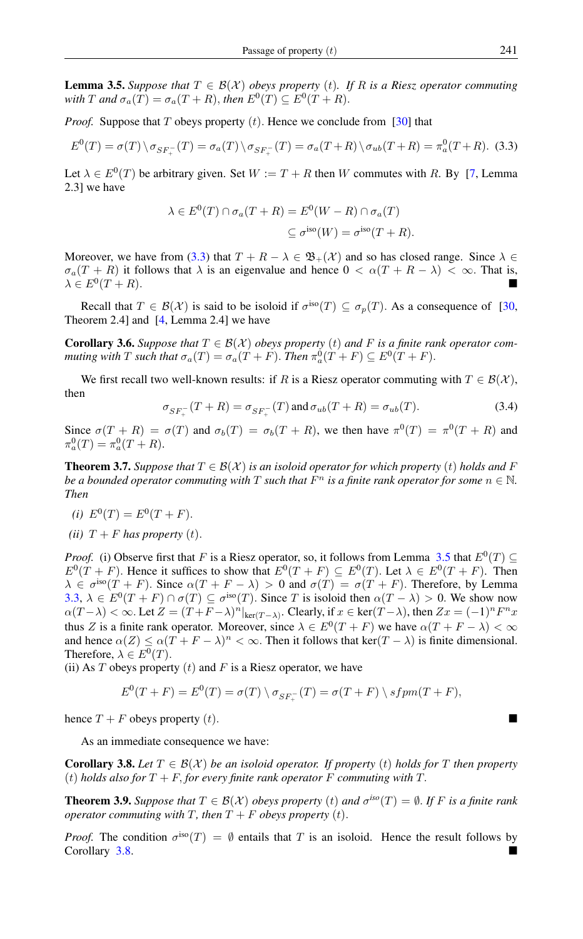<span id="page-4-1"></span>**Lemma 3.5.** Suppose that  $T \in \mathcal{B}(\mathcal{X})$  obeys property (t). If R is a Riesz operator commuting with T and  $\sigma_a(T) = \sigma_a(T + R)$ , then  $E^0(T) \subseteq E^0(T + R)$ .

*Proof.* Suppose that T obeys property  $(t)$ . Hence we conclude from [\[30\]](#page-11-2) that

$$
E^{0}(T) = \sigma(T) \setminus \sigma_{SF_{+}^{-}}(T) = \sigma_{a}(T) \setminus \sigma_{SF_{+}^{-}}(T) = \sigma_{a}(T+R) \setminus \sigma_{ub}(T+R) = \pi_{a}^{0}(T+R). \tag{3.3}
$$

Let  $\lambda \in E^0(T)$  be arbitrary given. Set  $W := T + R$  then W commutes with R. By [\[7,](#page-11-21) Lemma 2.3] we have

<span id="page-4-0"></span>
$$
\lambda \in E^{0}(T) \cap \sigma_{a}(T+R) = E^{0}(W-R) \cap \sigma_{a}(T)
$$
  

$$
\subseteq \sigma^{\text{iso}}(W) = \sigma^{\text{iso}}(T+R).
$$

Moreover, we have from [\(3.3\)](#page-4-0) that  $T + R - \lambda \in \mathfrak{B}_+(\mathcal{X})$  and so has closed range. Since  $\lambda \in$  $\sigma_a(T + R)$  it follows that  $\lambda$  is an eigenvalue and hence  $0 < \alpha(T + R - \lambda) < \infty$ . That is,  $\lambda \in E^0(T+R).$  $(T + R)$ .

Recall that  $T \in \mathcal{B}(\mathcal{X})$  is said to be isoloid if  $\sigma^{iso}(T) \subseteq \sigma_p(T)$ . As a consequence of [\[30,](#page-11-2) Theorem 2.4] and [\[4,](#page-11-19) Lemma 2.4] we have

**Corollary 3.6.** *Suppose that*  $T \in \mathcal{B}(\mathcal{X})$  *obeys property* (*t*) *and* F *is a finite rank operator commuting with*  $T$  *such that*  $\sigma_a(T) = \sigma_a(T + F)$ . *Then*  $\pi_a^0(T + F) \subseteq E^0(T + F)$ .

We first recall two well-known results: if R is a Riesz operator commuting with  $T \in \mathcal{B}(\mathcal{X})$ , then

$$
\sigma_{SF_{+}^{-}}(T+R) = \sigma_{SF_{+}^{-}}(T) \text{ and } \sigma_{ub}(T+R) = \sigma_{ub}(T). \tag{3.4}
$$

Since  $\sigma(T + R) = \sigma(T)$  and  $\sigma_b(T) = \sigma_b(T + R)$ , we then have  $\pi^0(T) = \pi^0(T + R)$  and  $\pi_a^0(T) = \pi_a^0(T + R).$ 

**Theorem 3.7.** *Suppose that*  $T \in \mathcal{B}(\mathcal{X})$  *is an isoloid operator for which property* (*t*) *holds and* F *be a bounded operator commuting with*  $T$  *such that*  $F<sup>n</sup>$  *is a finite rank operator for some*  $n \in \mathbb{N}$ *. Then*

- (*i*)  $E^0(T) = E^0(T + F)$ .
- *(ii)*  $T + F$  *has property (t)*.

*Proof.* (i) Observe first that F is a Riesz operator, so, it follows from Lemma [3.5](#page-4-1) that  $E^0(T) \subseteq$  $E^0(T + F)$ . Hence it suffices to show that  $E^0(T + F) \subseteq E^0(T)$ . Let  $\lambda \in E^0(T + F)$ . Then  $\lambda \in \sigma^{\text{iso}}(T + F)$ . Since  $\alpha(T + F - \lambda) > 0$  and  $\sigma(T) = \sigma(T + F)$ . Therefore, by Lemma [3.3,](#page-3-1)  $\lambda \in E^0(T + F) \cap \sigma(T) \subseteq \sigma^{\text{iso}}(T)$ . Since T is isoloid then  $\alpha(T - \lambda) > 0$ . We show now  $\alpha(T-\lambda) < \infty$ . Let  $Z = (T+F-\lambda)^n|_{\text{ker}(T-\lambda)}$ . Clearly, if  $x \in \text{ker}(T-\lambda)$ , then  $Zx = (-1)^n F^n x$ thus Z is a finite rank operator. Moreover, since  $\lambda \in E^0(T + F)$  we have  $\alpha(T + F - \lambda) < \infty$ and hence  $\alpha(Z) \leq \alpha(T + F - \lambda)^n < \infty$ . Then it follows that ker $(T - \lambda)$  is finite dimensional. Therefore,  $\lambda \in E^0(T)$ .

(ii) As  $T$  obeys property  $(t)$  and  $F$  is a Riesz operator, we have

$$
E^{0}(T+F) = E^{0}(T) = \sigma(T) \setminus \sigma_{SF_{+}^{-}}(T) = \sigma(T+F) \setminus sfpm(T+F),
$$

hence  $T + F$  obeys property (t).

As an immediate consequence we have:

<span id="page-4-2"></span>**Corollary 3.8.** Let  $T \in \mathcal{B}(\mathcal{X})$  be an isoloid operator. If property (t) holds for T then property (t) *holds also for*  $T + F$ , *for every finite rank operator* F *commuting with* T.

**Theorem 3.9.** *Suppose that*  $T \in \mathcal{B}(\mathcal{X})$  *obeys property* (*t*) *and*  $\sigma^{iso}(T) = \emptyset$ *. If F is a finite rank operator commuting with*  $T$ *, then*  $T + F$  *obeys property*  $(t)$ *.* 

*Proof.* The condition  $\sigma^{iso}(T) = \emptyset$  entails that T is an isoloid. Hence the result follows by Corollary [3.8.](#page-4-2)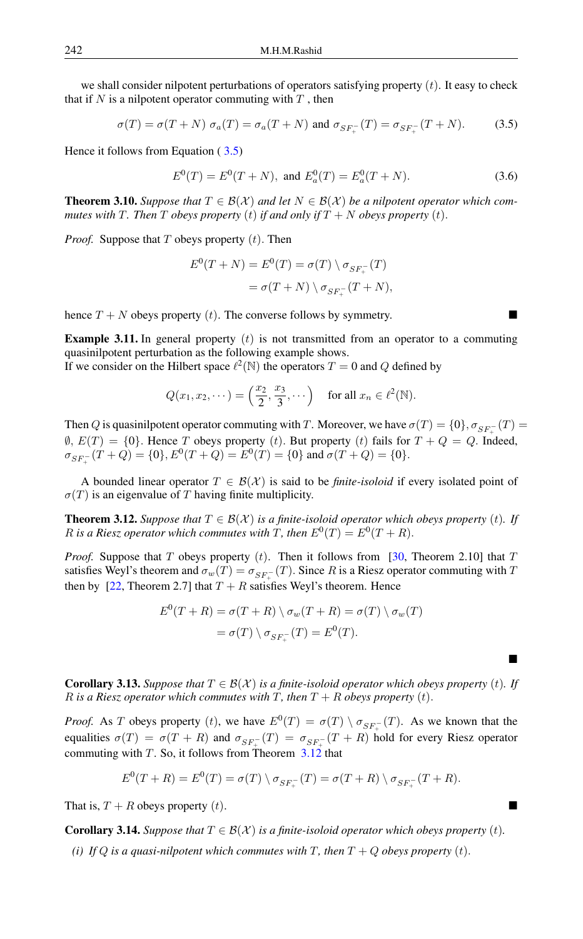we shall consider nilpotent perturbations of operators satisfying property  $(t)$ . It easy to check that if  $N$  is a nilpotent operator commuting with  $T$ , then

$$
\sigma(T) = \sigma(T + N) \sigma_a(T) = \sigma_a(T + N) \text{ and } \sigma_{SF_+^-(T)} = \sigma_{SF_+^-(T + N)}.
$$
 (3.5)

Hence it follows from Equation ( [3.5\)](#page-5-0)

<span id="page-5-0"></span>
$$
E^{0}(T) = E^{0}(T+N)
$$
, and  $E_{a}^{0}(T) = E_{a}^{0}(T+N)$ . (3.6)

**Theorem 3.10.** Suppose that  $T \in \mathcal{B}(\mathcal{X})$  and let  $N \in \mathcal{B}(\mathcal{X})$  be a nilpotent operator which com*mutes with* T. Then T *obeys property* (t) *if and only if*  $T + N$  *obeys property* (t).

*Proof.* Suppose that  $T$  obeys property  $(t)$ . Then

$$
E^{0}(T+N) = E^{0}(T) = \sigma(T) \setminus \sigma_{SF_{+}^{-}}(T)
$$

$$
= \sigma(T+N) \setminus \sigma_{SF_{+}^{-}}(T+N),
$$

hence  $T + N$  obeys property (t). The converse follows by symmetry.

**Example 3.11.** In general property  $(t)$  is not transmitted from an operator to a commuting quasinilpotent perturbation as the following example shows.

If we consider on the Hilbert space  $\ell^2(\mathbb{N})$  the operators  $T = 0$  and Q defined by

$$
Q(x_1, x_2, \dots) = \left(\frac{x_2}{2}, \frac{x_3}{3}, \dots\right) \quad \text{for all } x_n \in \ell^2(\mathbb{N}).
$$

Then Q is quasinilpotent operator commuting with T. Moreover, we have  $\sigma(T) = \{0\}, \sigma_{SF_{+}^{-}}(T) =$  $\emptyset$ ,  $E(T) = \{0\}$ . Hence T obeys property (t). But property (t) fails for  $T + Q = Q$ . Indeed,  $\sigma_{SF_{+}^{-}}(T+Q) = \{0\}, E^{0}(T+Q) = E^{0}(T) = \{0\}$  and  $\sigma(T+Q) = \{0\}.$ 

A bounded linear operator  $T \in \mathcal{B}(\mathcal{X})$  is said to be *finite-isoloid* if every isolated point of  $\sigma(T)$  is an eigenvalue of T having finite multiplicity.

<span id="page-5-1"></span>**Theorem 3.12.** *Suppose that*  $T \in \mathcal{B}(\mathcal{X})$  *is a finite-isoloid operator which obeys property* (*t*). If R is a Riesz operator which commutes with T, then  $E^0(T) = E^0(T + R)$ .

*Proof.* Suppose that T obeys property  $(t)$ . Then it follows from [\[30,](#page-11-2) Theorem 2.10] that T satisfies Weyl's theorem and  $\sigma_w(T) = \sigma_{SF_{+}^{-}}(T)$ . Since R is a Riesz operator commuting with T then by [\[22,](#page-11-20) Theorem 2.7] that  $T + R$  satisfies Weyl's theorem. Hence

$$
E^{0}(T + R) = \sigma(T + R) \setminus \sigma_{w}(T + R) = \sigma(T) \setminus \sigma_{w}(T)
$$

$$
= \sigma(T) \setminus \sigma_{SF_{+}^{-}}(T) = E^{0}(T).
$$

<span id="page-5-2"></span>**Corollary 3.13.** Suppose that  $T \in \mathcal{B}(\mathcal{X})$  is a finite-isoloid operator which obeys property (t). If R is a Riesz operator which commutes with T, then  $T + R$  obeys property (t).

Ē

*Proof.* As T obeys property (*t*), we have  $E^0(T) = \sigma(T) \setminus \sigma_{SF_{+}^{-}}(T)$ . As we known that the equalities  $\sigma(T) = \sigma(T + R)$  and  $\sigma_{SF_{+}^-}(T) = \sigma_{SF_{+}^-}(T + R)$  hold for every Riesz operator commuting with T. So, it follows from Theorem  $3.12$  that

$$
E^{0}(T+R) = E^{0}(T) = \sigma(T) \setminus \sigma_{SF_{+}^{-}}(T) = \sigma(T+R) \setminus \sigma_{SF_{+}^{-}}(T+R).
$$

That is,  $T + R$  obeys property  $(t)$ .

**Corollary 3.14.** *Suppose that*  $T \in \mathcal{B}(\mathcal{X})$  *is a finite-isoloid operator which obeys property*  $(t)$ *.* 

*(i)* If Q is a quasi-nilpotent which commutes with T, then  $T + Q$  obeys property  $(t)$ .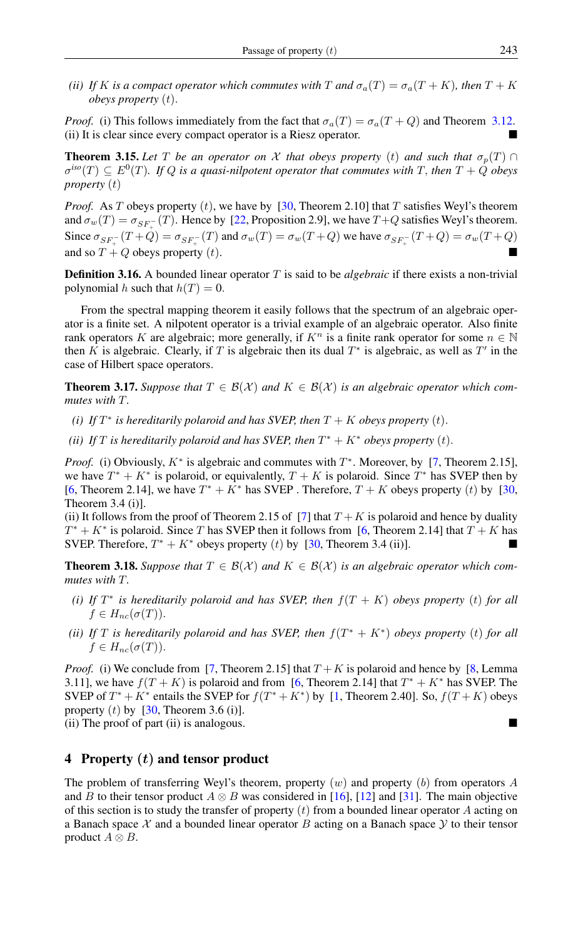*(ii)* If K is a compact operator which commutes with T and  $\sigma_a(T) = \sigma_a(T + K)$ *, then*  $T + K$ *obeys property* (t).

*Proof.* (i) This follows immediately from the fact that  $\sigma_a(T) = \sigma_a(T + Q)$  and Theorem [3.12.](#page-5-1) (ii) It is clear since every compact operator is a Riesz operator.

**Theorem 3.15.** Let T be an operator on X that obeys property (t) and such that  $\sigma_p(T) \cap$  $\sigma^{iso}(T) \subseteq E^0(T)$ . If Q is a quasi-nilpotent operator that commutes with T, then  $T + Q$  obeys *property* (t)

*Proof.* As T obeys property  $(t)$ , we have by [\[30,](#page-11-2) Theorem 2.10] that T satisfies Weyl's theorem and  $\sigma_w(T) = \sigma_{SF_{+}^{-}}(T)$ . Hence by [\[22,](#page-11-20) Proposition 2.9], we have  $T+Q$  satisfies Weyl's theorem. Since  $\sigma_{SF_+^-}(T+Q) = \sigma_{SF_+^-}(T)$  and  $\sigma_w(T) = \sigma_w(T+Q)$  we have  $\sigma_{SF_+^-}(T+Q) = \sigma_w(T+Q)$ and so  $T + Q$  obeys property (t).

Definition 3.16. A bounded linear operator T is said to be *algebraic* if there exists a non-trivial polynomial h such that  $h(T) = 0$ .

From the spectral mapping theorem it easily follows that the spectrum of an algebraic operator is a finite set. A nilpotent operator is a trivial example of an algebraic operator. Also finite rank operators K are algebraic; more generally, if  $K<sup>n</sup>$  is a finite rank operator for some  $n \in \mathbb{N}$ then K is algebraic. Clearly, if T is algebraic then its dual  $T^*$  is algebraic, as well as  $T'$  in the case of Hilbert space operators.

**Theorem 3.17.** Suppose that  $T \in \mathcal{B}(\mathcal{X})$  and  $K \in \mathcal{B}(\mathcal{X})$  is an algebraic operator which com*mutes with* T*.*

- *(i)* If  $T^*$  is hereditarily polaroid and has SVEP, then  $T + K$  obeys property  $(t)$ .
- (*ii*) If T is hereditarily polaroid and has SVEP, then  $T^* + K^*$  obeys property (*t*).

*Proof.* (i) Obviously,  $K^*$  is algebraic and commutes with  $T^*$ . Moreover, by [\[7,](#page-11-21) Theorem 2.15], we have  $T^* + K^*$  is polaroid, or equivalently,  $T + K$  is polaroid. Since  $T^*$  has SVEP then by [\[6,](#page-11-5) Theorem 2.14], we have  $T^* + K^*$  has SVEP. Therefore,  $T + K$  obeys property (t) by [\[30,](#page-11-2) Theorem 3.4 (i)].

(ii) It follows from the proof of Theorem 2.15 of [\[7\]](#page-11-21) that  $T + K$  is polaroid and hence by duality  $T^* + K^*$  is polaroid. Since T has SVEP then it follows from [\[6,](#page-11-5) Theorem 2.14] that  $T + K$  has SVEP. Therefore,  $T^* + K^*$  obeys property (t) by [\[30,](#page-11-2) Theorem 3.4 (ii)].

**Theorem 3.18.** Suppose that  $T \in \mathcal{B}(\mathcal{X})$  and  $K \in \mathcal{B}(\mathcal{X})$  is an algebraic operator which com*mutes with* T*.*

- *(i)* If  $T^*$  is hereditarily polaroid and has SVEP, then  $f(T + K)$  obeys property (t) for all  $f \in H_{nc}(\sigma(T)).$
- *(ii)* If T is hereditarily polaroid and has SVEP, then  $f(T^* + K^*)$  obeys property (t) for all  $f \in H_{nc}(\sigma(T)).$

*Proof.* (i) We conclude from [\[7,](#page-11-21) Theorem 2.15] that  $T + K$  is polaroid and hence by [\[8,](#page-11-22) Lemma 3.11], we have  $f(T + K)$  is polaroid and from [\[6,](#page-11-5) Theorem 2.14] that  $T^* + K^*$  has SVEP. The SVEP of  $T^* + K^*$  entails the SVEP for  $f(T^* + K^*)$  by [\[1,](#page-10-1) Theorem 2.40]. So,  $f(T+K)$  obeys property  $(t)$  by [\[30,](#page-11-2) Theorem 3.6 (i)]. (ii) The proof of part (ii) is analogous.

# 4 Property  $(t)$  and tensor product

The problem of transferring Weyl's theorem, property  $(w)$  and property  $(b)$  from operators A and B to their tensor product  $A \otimes B$  was considered in [\[16\]](#page-11-23), [\[12\]](#page-11-24) and [\[31\]](#page-11-25). The main objective of this section is to study the transfer of property  $(t)$  from a bounded linear operator A acting on a Banach space  $X$  and a bounded linear operator  $B$  acting on a Banach space  $Y$  to their tensor product  $A \otimes B$ .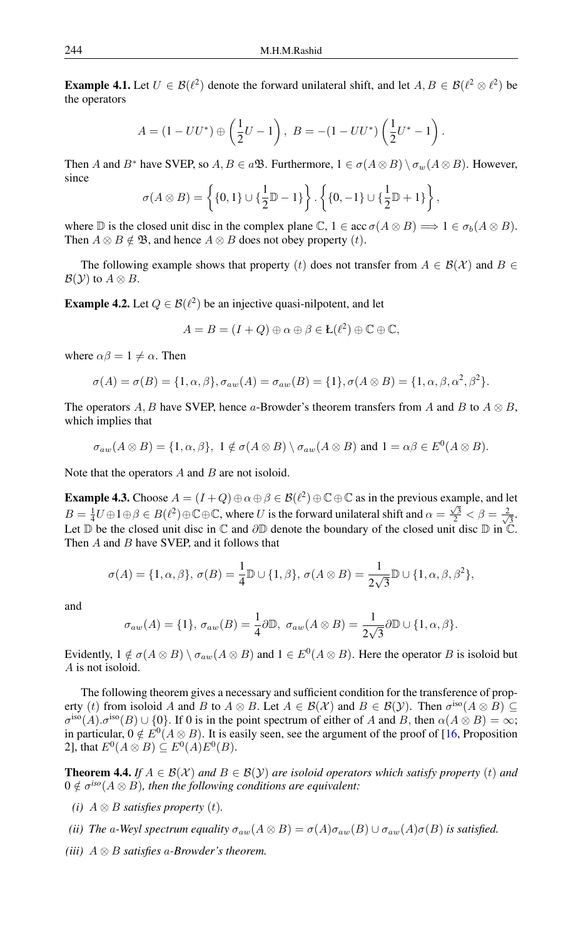**Example 4.1.** Let  $U \in \mathcal{B}(\ell^2)$  denote the forward unilateral shift, and let  $A, B \in \mathcal{B}(\ell^2 \otimes \ell^2)$  be the operators

$$
A = (1 - UU^*) \oplus \left(\frac{1}{2}U - 1\right), \ B = -(1 - UU^*)\left(\frac{1}{2}U^* - 1\right).
$$

Then A and B<sup>∗</sup> have SVEP, so  $A, B \in a\mathfrak{B}$ . Furthermore,  $1 \in \sigma(A \otimes B) \setminus \sigma_w(A \otimes B)$ . However, since

$$
\sigma(A \otimes B) = \left\{ \{0, 1\} \cup \{\frac{1}{2} \mathbb{D} - 1\} \right\} \cdot \left\{ \{0, -1\} \cup \{\frac{1}{2} \mathbb{D} + 1\} \right\},\
$$

where  $\mathbb D$  is the closed unit disc in the complex plane  $\mathbb C$ ,  $1 \in \text{acc } \sigma(A \otimes B) \Longrightarrow 1 \in \sigma_b(A \otimes B)$ . Then  $A \otimes B \notin \mathfrak{B}$ , and hence  $A \otimes B$  does not obey property  $(t)$ .

The following example shows that property (t) does not transfer from  $A \in \mathcal{B}(\mathcal{X})$  and  $B \in$  $\mathcal{B}(y)$  to  $A \otimes B$ .

**Example 4.2.** Let  $Q \in \mathcal{B}(\ell^2)$  be an injective quasi-nilpotent, and let

$$
A = B = (I + Q) \oplus \alpha \oplus \beta \in \mathcal{L}(\ell^2) \oplus \mathbb{C} \oplus \mathbb{C},
$$

where  $\alpha\beta = 1 \neq \alpha$ . Then

$$
\sigma(A) = \sigma(B) = \{1, \alpha, \beta\}, \sigma_{aw}(A) = \sigma_{aw}(B) = \{1\}, \sigma(A \otimes B) = \{1, \alpha, \beta, \alpha^2, \beta^2\}.
$$

The operators A, B have SVEP, hence a-Browder's theorem transfers from A and B to  $A \otimes B$ , which implies that

$$
\sigma_{aw}(A \otimes B) = \{1, \alpha, \beta\}, \ 1 \notin \sigma(A \otimes B) \setminus \sigma_{aw}(A \otimes B) \text{ and } 1 = \alpha\beta \in E^0(A \otimes B).
$$

Note that the operators  $A$  and  $B$  are not isoloid.

**Example 4.3.** Choose  $A = (I + Q) \oplus \alpha \oplus \beta \in \mathcal{B}(\ell^2) \oplus \mathbb{C} \oplus \mathbb{C}$  as in the previous example, and let  $B = \frac{1}{4}U \oplus 1 \oplus \beta \in B(\ell^2) \oplus \mathbb{C} \oplus \mathbb{C}$ , where U is the forward unilateral shift and  $\alpha = \frac{\sqrt{3}}{2} < \beta = \frac{2}{\sqrt{3}}$ . Let D be the closed unit disc in  $\mathbb C$  and ∂D denote the boundary of the closed unit disc D in  $\mathbb C$ . Then  $A$  and  $B$  have SVEP, and it follows that

$$
\sigma(A) = \{1, \alpha, \beta\}, \sigma(B) = \frac{1}{4} \mathbb{D} \cup \{1, \beta\}, \sigma(A \otimes B) = \frac{1}{2\sqrt{3}} \mathbb{D} \cup \{1, \alpha, \beta, \beta^2\},\
$$

and

$$
\sigma_{aw}(A) = \{1\}, \sigma_{aw}(B) = \frac{1}{4}\partial \mathbb{D}, \sigma_{aw}(A \otimes B) = \frac{1}{2\sqrt{3}}\partial \mathbb{D} \cup \{1, \alpha, \beta\}.
$$

Evidently,  $1 \notin \sigma(A \otimes B) \setminus \sigma_{aw}(A \otimes B)$  and  $1 \in E^0(A \otimes B)$ . Here the operator B is isoloid but A is not isoloid.

The following theorem gives a necessary and sufficient condition for the transference of property (*t*) from isoloid A and B to  $A \otimes B$ . Let  $A \in \mathcal{B}(\mathcal{X})$  and  $B \in \mathcal{B}(\mathcal{Y})$ . Then  $\sigma^{\text{iso}}(A \otimes B) \subseteq$  $\sigma^{iso}(A)$ . $\sigma^{iso}(B) \cup \{0\}$ . If 0 is in the point spectrum of either of A and B, then  $\alpha(A \otimes B) = \infty$ ; in particular,  $0 \notin E^0(A \otimes B)$ . It is easily seen, see the argument of the proof of [\[16,](#page-11-23) Proposition 2], that  $E^0(A \otimes B) \subseteq E^0(A)E^0(B)$ .

**Theorem 4.4.** *If*  $A \in \mathcal{B}(\mathcal{X})$  *and*  $B \in \mathcal{B}(\mathcal{Y})$  *are isoloid operators which satisfy property* (*t*) *and*  $0 \notin \sigma^{iso}(A \otimes B)$ , then the following conditions are equivalent:

- *(i)*  $A \otimes B$  *satisfies property (t)*.
- *(ii) The* a-Weyl spectrum equality  $\sigma_{aw}(A \otimes B) = \sigma(A)\sigma_{aw}(B) \cup \sigma_{aw}(A)\sigma(B)$  is satisfied.
- *(iii)* A ⊗ B *satisfies* a*-Browder's theorem.*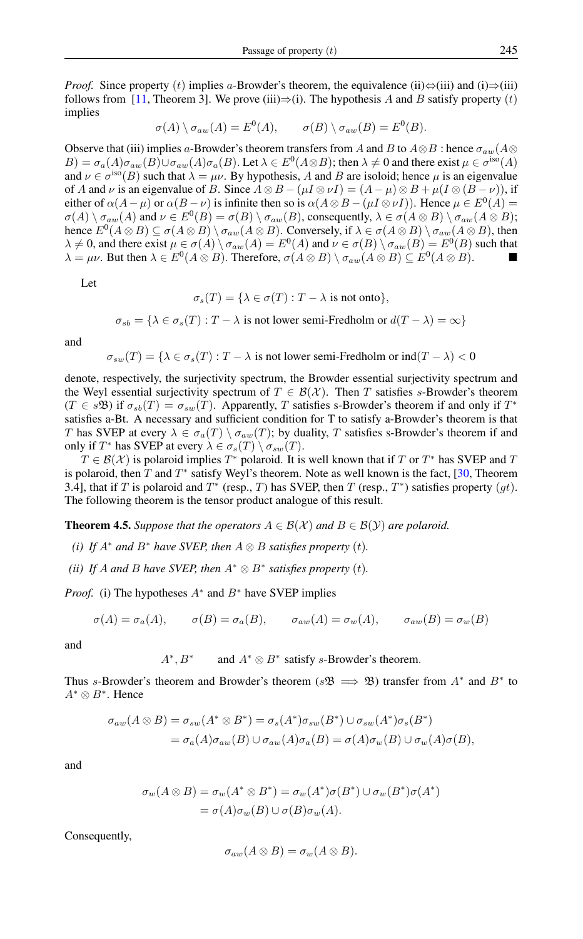*Proof.* Since property (t) implies a-Browder's theorem, the equivalence (ii) $\Leftrightarrow$ (iii) and (i) $\Rightarrow$ (iii) follows from [\[11,](#page-11-26) Theorem 3]. We prove (iii) $\Rightarrow$ (i). The hypothesis A and B satisfy property (t) implies

$$
\sigma(A) \setminus \sigma_{aw}(A) = E^0(A), \qquad \sigma(B) \setminus \sigma_{aw}(B) = E^0(B).
$$

Observe that (iii) implies a-Browder's theorem transfers from A and B to  $A \otimes B$  : hence  $\sigma_{aw}(A \otimes B)$  $B) = \sigma_a(A)\sigma_{aw}(B) \cup \sigma_{aw}(A)\sigma_a(B)$ . Let  $\lambda \in E^0(A \otimes B)$ ; then  $\lambda \neq 0$  and there exist  $\mu \in \sigma^{\rm iso}(A)$ and  $\nu \in \sigma^{\text{iso}}(B)$  such that  $\lambda = \mu \nu$ . By hypothesis, A and B are isoloid; hence  $\mu$  is an eigenvalue of A and v is an eigenvalue of B. Since  $A \otimes B - (\mu I \otimes \nu I) = (A - \mu) \otimes B + \mu (I \otimes (B - \nu))$ , if either of  $\alpha(A-\mu)$  or  $\alpha(B-\nu)$  is infinite then so is  $\alpha(A\otimes B-(\mu I\otimes \nu I))$ . Hence  $\mu\in E^0(A)$  =  $\sigma(A) \setminus \sigma_{aw}(A)$  and  $\nu \in E^0(B) = \sigma(B) \setminus \sigma_{aw}(B)$ , consequently,  $\lambda \in \sigma(A \otimes B) \setminus \sigma_{aw}(A \otimes B)$ ; hence  $E^0(A \otimes B) \subseteq \sigma(A \otimes B) \setminus \sigma_{aw}(A \otimes B)$ . Conversely, if  $\lambda \in \sigma(A \otimes B) \setminus \sigma_{aw}(A \otimes B)$ , then  $\lambda \neq 0$ , and there exist  $\mu \in \sigma(A) \setminus \sigma_{aw}(A) = E^0(A)$  and  $\nu \in \sigma(B) \setminus \sigma_{aw}(B) = E^0(B)$  such that  $\lambda = \mu \nu$ . But then  $\lambda \in E^0(A \otimes B)$ . Therefore,  $\sigma(A \otimes B) \setminus \sigma_{aw}(A \otimes B) \subseteq E^0(A \otimes B)$ .

Let

$$
\sigma_s(T) = \{ \lambda \in \sigma(T) : T - \lambda \text{ is not onto} \},
$$

$$
\sigma_{sb} = \{ \lambda \in \sigma_s(T) : T - \lambda \text{ is not lower semi-Fredholm or } d(T - \lambda) = \infty \}
$$

and

$$
\sigma_{sw}(T) = \{ \lambda \in \sigma_s(T) : T - \lambda \text{ is not lower semi-Fredholm or ind}(T - \lambda) < 0
$$

denote, respectively, the surjectivity spectrum, the Browder essential surjectivity spectrum and the Weyl essential surjectivity spectrum of  $T \in \mathcal{B}(\mathcal{X})$ . Then T satisfies s-Browder's theorem  $(T \in s\mathfrak{B})$  if  $\sigma_{sb}(T) = \sigma_{sw}(T)$ . Apparently, T satisfies s-Browder's theorem if and only if  $T^*$ satisfies a-Bt. A necessary and sufficient condition for T to satisfy a-Browder's theorem is that T has SVEP at every  $\lambda \in \sigma_a(T) \setminus \sigma_{aw}(T)$ ; by duality, T satisfies s-Browder's theorem if and only if  $T^*$  has SVEP at every  $\lambda \in \sigma_s(T) \setminus \sigma_{sw}(T)$ .

 $T \in \mathcal{B}(\mathcal{X})$  is polaroid implies  $T^*$  polaroid. It is well known that if T or  $T^*$  has SVEP and T is polaroid, then T and  $T^*$  satisfy Weyl's theorem. Note as well known is the fact, [\[30,](#page-11-2) Theorem 3.4], that if T is polaroid and  $T^*$  (resp., T) has SVEP, then T (resp.,  $T^*$ ) satisfies property  $(gt)$ . The following theorem is the tensor product analogue of this result.

**Theorem 4.5.** *Suppose that the operators*  $A \in \mathcal{B}(\mathcal{X})$  *and*  $B \in \mathcal{B}(\mathcal{Y})$  *are polaroid.* 

- *(i)* If  $A^*$  and  $B^*$  have SVEP, then  $A \otimes B$  satisfies property (t).
- *(ii)* If A and B have SVEP, then  $A^* \otimes B^*$  satisfies property (t).

*Proof.* (i) The hypotheses  $A^*$  and  $B^*$  have SVEP implies

$$
\sigma(A) = \sigma_a(A), \qquad \sigma(B) = \sigma_a(B), \qquad \sigma_{aw}(A) = \sigma_w(A), \qquad \sigma_{aw}(B) = \sigma_w(B)
$$

and

 $A^*, B^*$ and  $A^* \otimes B^*$  satisfy s-Browder's theorem.

Thus s-Browder's theorem and Browder's theorem ( $s$ <sup>8</sup>)  $\Rightarrow$  <sup>9</sup>) transfer from  $A^*$  and  $B^*$  to  $A^* \otimes B^*$ . Hence

$$
\sigma_{aw}(A \otimes B) = \sigma_{sw}(A^* \otimes B^*) = \sigma_s(A^*)\sigma_{sw}(B^*) \cup \sigma_{sw}(A^*)\sigma_s(B^*)
$$
  
=  $\sigma_a(A)\sigma_{aw}(B) \cup \sigma_{aw}(A)\sigma_a(B) = \sigma(A)\sigma_w(B) \cup \sigma_w(A)\sigma(B),$ 

and

$$
\sigma_w(A \otimes B) = \sigma_w(A^* \otimes B^*) = \sigma_w(A^*)\sigma(B^*) \cup \sigma_w(B^*)\sigma(A^*)
$$
  
=  $\sigma(A)\sigma_w(B) \cup \sigma(B)\sigma_w(A)$ .

Consequently,

$$
\sigma_{aw}(A\otimes B)=\sigma_w(A\otimes B).
$$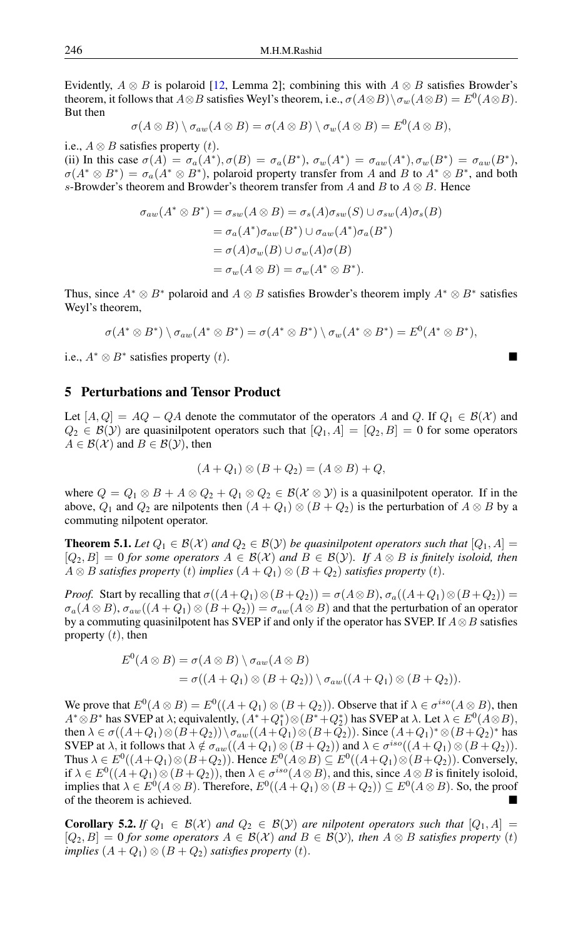Evidently,  $A \otimes B$  is polaroid [\[12,](#page-11-24) Lemma 2]; combining this with  $A \otimes B$  satisfies Browder's theorem, it follows that  $A \otimes B$  satisfies Weyl's theorem, i.e.,  $\sigma(A \otimes B) \setminus \sigma_w(A \otimes B) = E^0(A \otimes B)$ . But then

$$
\sigma(A\otimes B)\setminus \sigma_{aw}(A\otimes B)=\sigma(A\otimes B)\setminus \sigma_w(A\otimes B)=E^0(A\otimes B),
$$

i.e.,  $A \otimes B$  satisfies property  $(t)$ .

(ii) In this case  $\sigma(A) = \sigma_a(A^*), \sigma(B) = \sigma_a(B^*), \sigma_w(A^*) = \sigma_{aw}(A^*), \sigma_w(B^*) = \sigma_{aw}(B^*),$  $\sigma(A^* \otimes B^*) = \sigma_a(A^* \otimes B^*)$ , polaroid property transfer from A and B to  $A^* \otimes B^*$ , and both s-Browder's theorem and Browder's theorem transfer from A and B to  $A \otimes B$ . Hence

$$
\sigma_{aw}(A^* \otimes B^*) = \sigma_{sw}(A \otimes B) = \sigma_s(A)\sigma_{sw}(S) \cup \sigma_{sw}(A)\sigma_s(B)
$$
  
=  $\sigma_a(A^*)\sigma_{aw}(B^*) \cup \sigma_{aw}(A^*)\sigma_a(B^*)$   
=  $\sigma(A)\sigma_w(B) \cup \sigma_w(A)\sigma(B)$   
=  $\sigma_w(A \otimes B) = \sigma_w(A^* \otimes B^*).$ 

Thus, since  $A^* \otimes B^*$  polaroid and  $A \otimes B$  satisfies Browder's theorem imply  $A^* \otimes B^*$  satisfies Weyl's theorem,

$$
\sigma(A^* \otimes B^*) \setminus \sigma_{aw}(A^* \otimes B^*) = \sigma(A^* \otimes B^*) \setminus \sigma_w(A^* \otimes B^*) = E^0(A^* \otimes B^*),
$$

i.e.,  $A^* \otimes B^*$  satisfies property  $(t)$ .

## 5 Perturbations and Tensor Product

Let  $[A, Q] = AQ - QA$  denote the commutator of the operators A and Q. If  $Q_1 \in B(X)$  and  $Q_2 \in \mathcal{B}(Y)$  are quasinilpotent operators such that  $[Q_1, A] = [Q_2, B] = 0$  for some operators  $A \in \mathcal{B}(\mathcal{X})$  and  $B \in \mathcal{B}(\mathcal{Y})$ , then

$$
(A+Q_1)\otimes (B+Q_2)=(A\otimes B)+Q,
$$

where  $Q = Q_1 \otimes B + A \otimes Q_2 + Q_1 \otimes Q_2 \in \mathcal{B}(\mathcal{X} \otimes \mathcal{Y})$  is a quasinilpotent operator. If in the above,  $Q_1$  and  $Q_2$  are nilpotents then  $(A + Q_1) \otimes (B + Q_2)$  is the perturbation of  $A \otimes B$  by a commuting nilpotent operator.

**Theorem 5.1.** *Let*  $Q_1 \in \mathcal{B}(\mathcal{X})$  *and*  $Q_2 \in \mathcal{B}(\mathcal{Y})$  *be quasinilpotent operators such that*  $[Q_1, A] =$  $[Q_2, B] = 0$  *for some operators*  $A \in \mathcal{B}(\mathcal{X})$  *and*  $B \in \mathcal{B}(\mathcal{Y})$ *. If*  $A \otimes B$  *is finitely isoloid, then A* ⊗ *B satisfies property* (*t*) *implies*  $(A + Q_1)$  ⊗  $(B + Q_2)$  *satisfies property* (*t*).

*Proof.* Start by recalling that  $\sigma((A+Q_1)\otimes (B+Q_2)) = \sigma(A\otimes B)$ ,  $\sigma_a((A+Q_1)\otimes (B+Q_2)) =$  $\sigma_a(A \otimes B)$ ,  $\sigma_{aw}((A + Q_1) \otimes (B + Q_2)) = \sigma_{aw}(A \otimes B)$  and that the perturbation of an operator by a commuting quasinilpotent has SVEP if and only if the operator has SVEP. If  $A \otimes B$  satisfies property  $(t)$ , then

$$
E^{0}(A \otimes B) = \sigma(A \otimes B) \setminus \sigma_{aw}(A \otimes B)
$$
  
=  $\sigma((A + Q_{1}) \otimes (B + Q_{2})) \setminus \sigma_{aw}((A + Q_{1}) \otimes (B + Q_{2})).$ 

We prove that  $E^0(A \otimes B) = E^0((A + Q_1) \otimes (B + Q_2))$ . Observe that if  $\lambda \in \sigma^{iso}(A \otimes B)$ , then A<sup>∗</sup>⊗B<sup>∗</sup> has SVEP at  $\lambda$ ; equivalently,  $(A^* + Q_1^*) \otimes (B^* + Q_2^*)$  has SVEP at  $\lambda$ . Let  $\lambda \in E^0(A \otimes B)$ , then  $\lambda \in \sigma((A+Q_1)\otimes (B+Q_2)) \setminus \sigma_{aw}((A+Q_1)\otimes (B+Q_2))$ . Since  $(A+Q_1)^* \otimes (B+Q_2)^*$  has SVEP at  $\lambda$ , it follows that  $\lambda \notin \sigma_{aw}((A+Q_1)\otimes (B+Q_2))$  and  $\lambda \in \sigma^{iso}((A+Q_1)\otimes (B+Q_2)).$ Thus  $\lambda \in E^0((A+Q_1)\otimes (B+Q_2))$ . Hence  $E^0(A\otimes B) \subseteq E^0((A+Q_1)\otimes (B+Q_2))$ . Conversely, if  $\lambda \in E^0((A+Q_1)\otimes (B+Q_2))$ , then  $\lambda \in \sigma^{iso}(A\otimes B)$ , and this, since  $A\otimes B$  is finitely isoloid, implies that  $\lambda \in E^0(A \otimes B)$ . Therefore,  $E^0((A + Q_1) \otimes (B + Q_2)) \subseteq E^0(A \otimes B)$ . So, the proof of the theorem is achieved.

**Corollary 5.2.** If  $Q_1 \in B(X)$  and  $Q_2 \in B(Y)$  are nilpotent operators such that  $[Q_1, A] =$  $[Q_2, B] = 0$  *for some operators*  $A \in \mathcal{B}(\mathcal{X})$  *and*  $B \in \mathcal{B}(\mathcal{Y})$ *, then*  $A \otimes B$  *satisfies property* (*t*) *implies*  $(A + Q_1) \otimes (B + Q_2)$  *satisfies property*  $(t)$ *.*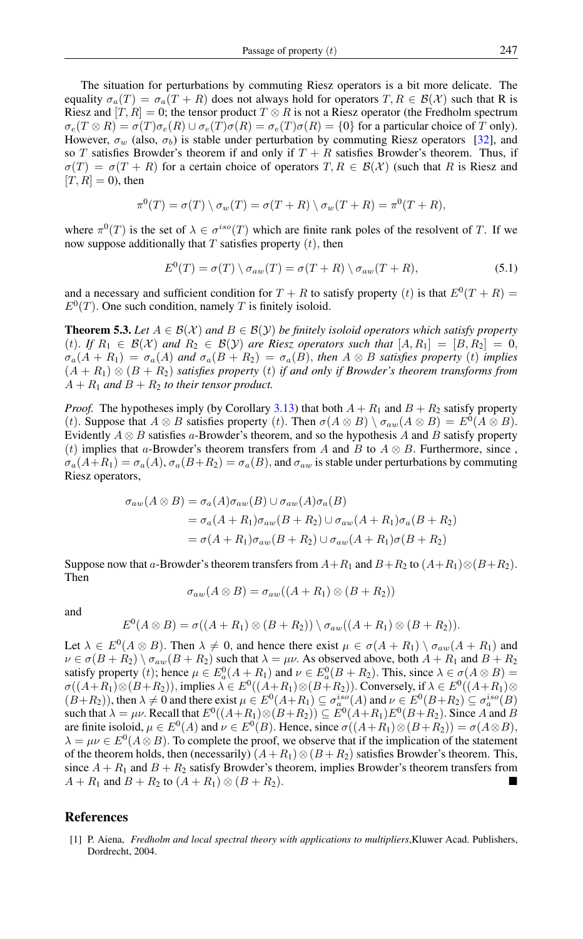The situation for perturbations by commuting Riesz operators is a bit more delicate. The equality  $\sigma_a(T) = \sigma_a(T + R)$  does not always hold for operators  $T, R \in \mathcal{B}(\mathcal{X})$  such that R is Riesz and  $[T, R] = 0$ ; the tensor product  $T \otimes R$  is not a Riesz operator (the Fredholm spectrum  $\sigma_e(T \otimes R) = \sigma(T)\sigma_e(R) \cup \sigma_e(T)\sigma(R) = \sigma_e(T)\sigma(R) = \{0\}$  for a particular choice of T only). However,  $\sigma_w$  (also,  $\sigma_b$ ) is stable under perturbation by commuting Riesz operators [\[32\]](#page-11-27), and so T satisfies Browder's theorem if and only if  $T + R$  satisfies Browder's theorem. Thus, if  $\sigma(T) = \sigma(T + R)$  for a certain choice of operators  $T, R \in \mathcal{B}(\mathcal{X})$  (such that R is Riesz and  $[T, R] = 0$ , then

$$
\pi^{0}(T) = \sigma(T) \setminus \sigma_{w}(T) = \sigma(T + R) \setminus \sigma_{w}(T + R) = \pi^{0}(T + R),
$$

where  $\pi^0(T)$  is the set of  $\lambda \in \sigma^{iso}(T)$  which are finite rank poles of the resolvent of T. If we now suppose additionally that  $T$  satisfies property  $(t)$ , then

$$
E^{0}(T) = \sigma(T) \setminus \sigma_{aw}(T) = \sigma(T + R) \setminus \sigma_{aw}(T + R), \qquad (5.1)
$$

and a necessary and sufficient condition for  $T + R$  to satisfy property  $(t)$  is that  $E^0(T + R) =$  $E^0(T)$ . One such condition, namely T is finitely isoloid.

**Theorem 5.3.** Let  $A \in \mathcal{B}(\mathcal{X})$  and  $B \in \mathcal{B}(\mathcal{Y})$  be finitely isoloid operators which satisfy property (t). If  $R_1 \in \mathcal{B}(\mathcal{X})$  and  $R_2 \in \mathcal{B}(\mathcal{Y})$  are Riesz operators such that  $[A, R_1] = [B, R_2] = 0$ ,  $\sigma_a(A + R_1) = \sigma_a(A)$  and  $\sigma_a(B + R_2) = \sigma_a(B)$ , then  $A \otimes B$  satisfies property (t) implies (A + R1) ⊗ (B + R2) *satisfies property* (t) *if and only if Browder's theorem transforms from*  $A + R_1$  *and*  $B + R_2$  *to their tensor product.* 

*Proof.* The hypotheses imply (by Corollary [3.13\)](#page-5-2) that both  $A + R_1$  and  $B + R_2$  satisfy property (t). Suppose that  $A \otimes B$  satisfies property (t). Then  $\sigma(A \otimes B) \setminus \sigma_{aw}(A \otimes B) = E^0(A \otimes B)$ . Evidently  $A \otimes B$  satisfies a-Browder's theorem, and so the hypothesis A and B satisfy property (t) implies that a-Browder's theorem transfers from A and B to  $A \otimes B$ . Furthermore, since,  $\sigma_a(A+R_1) = \sigma_a(A), \sigma_a(B+R_2) = \sigma_a(B),$  and  $\sigma_{aw}$  is stable under perturbations by commuting Riesz operators,

$$
\sigma_{aw}(A \otimes B) = \sigma_a(A)\sigma_{aw}(B) \cup \sigma_{aw}(A)\sigma_a(B)
$$
  
=  $\sigma_a(A + R_1)\sigma_{aw}(B + R_2) \cup \sigma_{aw}(A + R_1)\sigma_a(B + R_2)$   
=  $\sigma(A + R_1)\sigma_{aw}(B + R_2) \cup \sigma_{aw}(A + R_1)\sigma(B + R_2)$ 

Suppose now that a-Browder's theorem transfers from  $A+R_1$  and  $B+R_2$  to  $(A+R_1)\otimes(B+R_2)$ . Then

$$
\sigma_{aw}(A \otimes B) = \sigma_{aw}((A + R_1) \otimes (B + R_2))
$$

and

$$
E^{0}(A \otimes B) = \sigma((A + R_1) \otimes (B + R_2)) \setminus \sigma_{aw}((A + R_1) \otimes (B + R_2)).
$$

Let  $\lambda \in E^0(A \otimes B)$ . Then  $\lambda \neq 0$ , and hence there exist  $\mu \in \sigma(A + R_1) \setminus \sigma_{aw}(A + R_1)$  and  $\nu \in \sigma(B + R_2) \setminus \sigma_{aw}(B + R_2)$  such that  $\lambda = \mu \nu$ . As observed above, both  $A + R_1$  and  $B + R_2$ satisfy property (*t*); hence  $\mu \in E_a^0(A + R_1)$  and  $\nu \in E_a^0(B + R_2)$ . This, since  $\lambda \in \sigma(A \otimes B)$  $\sigma((A+R_1)\otimes (B+R_2))$ , implies  $\lambda \in E^0((A+R_1)\otimes (B+R_2))$ . Conversely, if  $\lambda \in E^0((A+R_1)\otimes$  $(B+R_2)$ ), then  $\lambda \neq 0$  and there exist  $\mu \in E^0(A+R_1) \subseteq \sigma_a^{iso}(A)$  and  $\nu \in E^0(B+R_2) \subseteq \sigma_a^{iso}(B)$ such that  $\lambda = \mu \nu$ . Recall that  $E^0((A+R_1)\otimes(B+R_2)) \subseteq E^0(A+R_1)E^0(B+R_2)$ . Since A and B are finite isoloid,  $\mu \in E^0(A)$  and  $\nu \in E^0(B)$ . Hence, since  $\sigma((A + R_1) \otimes (B + R_2)) = \sigma(A \otimes B)$ ,  $\lambda = \mu \nu \in E^0(A \otimes B)$ . To complete the proof, we observe that if the implication of the statement of the theorem holds, then (necessarily)  $(A+R_1) \otimes (B+R_2)$  satisfies Browder's theorem. This, since  $A + R_1$  and  $B + R_2$  satisfy Browder's theorem, implies Browder's theorem transfers from  $A + R_1$  and  $B + R_2$  to  $(A + R_1) \otimes (B + R_2)$ .

## <span id="page-10-0"></span>References

<span id="page-10-1"></span>[1] P. Aiena, *Fredholm and local spectral theory with applications to multipliers*,Kluwer Acad. Publishers, Dordrecht, 2004.